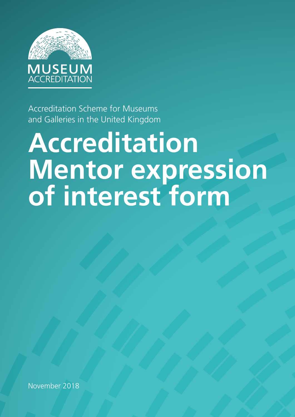

Accreditation Scheme for Museums and Galleries in the United Kingdom

# **Accreditation Mentor expression of interest form**

November 2018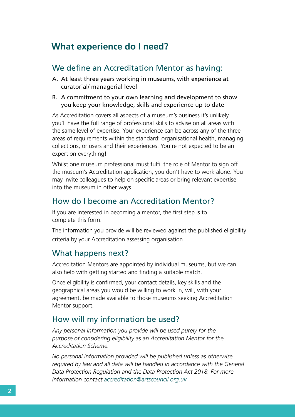## **What experience do I need?**

#### We define an Accreditation Mentor as having:

- A. At least three years working in museums, with experience at curatorial/ managerial level
- B. A commitment to your own learning and development to show you keep your knowledge, skills and experience up to date

As Accreditation covers all aspects of a museum's business it's unlikely you'll have the full range of professional skills to advise on all areas with the same level of expertise. Your experience can be across any of the three areas of requirements within the standard: organisational health, managing collections, or users and their experiences. You're not expected to be an expert on everything!

Whilst one museum professional must fulfil the role of Mentor to sign off the museum's Accreditation application, you don't have to work alone. You may invite colleagues to help on specific areas or bring relevant expertise into the museum in other ways.

## How do I become an Accreditation Mentor?

If you are interested in becoming a mentor, the first step is to complete this form.

The information you provide will be reviewed against the published eligibility criteria by your Accreditation assessing organisation.

## What happens next?

Accreditation Mentors are appointed by individual museums, but we can also help with getting started and finding a suitable match.

Once eligibility is confirmed, your contact details, key skills and the geographical areas you would be willing to work in, will, with your agreement, be made available to those museums seeking Accreditation Mentor support.

## How will my information be used?

*Any personal information you provide will be used purely for the purpose of considering eligibility as an Accreditation Mentor for the Accreditation Scheme.* 

*No personal information provided will be published unless as otherwise required by law and all data will be handled in accordance with the General Data Protection Regulation and the Data Protection Act 2018. For more information contact accreditation@artscouncil.org.uk*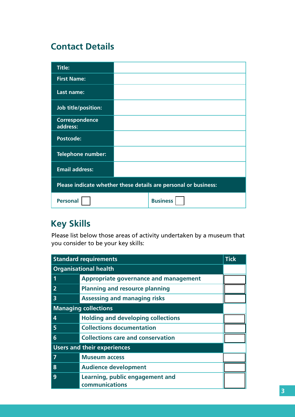# **Contact Details**

| <b>Title:</b>                                                   |                 |  |
|-----------------------------------------------------------------|-----------------|--|
| <b>First Name:</b>                                              |                 |  |
| Last name:                                                      |                 |  |
| Job title/position:                                             |                 |  |
| <b>Correspondence</b><br>address:                               |                 |  |
| <b>Postcode:</b>                                                |                 |  |
| <b>Telephone number:</b>                                        |                 |  |
| <b>Email address:</b>                                           |                 |  |
| Please indicate whether these details are personal or business: |                 |  |
| <b>Personal</b>                                                 | <b>Business</b> |  |

# **Key Skills**

Please list below those areas of activity undertaken by a museum that you consider to be your key skills:

| <b>Standard requirements</b><br><b>Tick</b> |                                                   |  |
|---------------------------------------------|---------------------------------------------------|--|
| <b>Organisational health</b>                |                                                   |  |
| 1                                           | <b>Appropriate governance and management</b>      |  |
|                                             | <b>Planning and resource planning</b>             |  |
| $\overline{\mathbf{3}}$                     | <b>Assessing and managing risks</b>               |  |
| <b>Managing collections</b>                 |                                                   |  |
| 4                                           | <b>Holding and developing collections</b>         |  |
| 5                                           | <b>Collections documentation</b>                  |  |
| 6                                           | <b>Collections care and conservation</b>          |  |
| <b>Users and their experiences</b>          |                                                   |  |
| 7                                           | <b>Museum access</b>                              |  |
| 8                                           | <b>Audience development</b>                       |  |
| 9                                           | Learning, public engagement and<br>communications |  |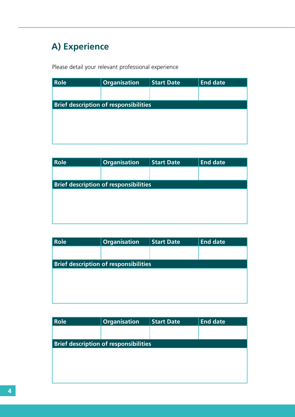# **A) Experience**

Please detail your relevant professional experience

| $\overline{\phantom{a}}$ Role                | <b>Organisation</b> | <b>Start Date</b> | <b>End date</b> |
|----------------------------------------------|---------------------|-------------------|-----------------|
|                                              |                     |                   |                 |
| <b>Brief description of responsibilities</b> |                     |                   |                 |
|                                              |                     |                   |                 |
|                                              |                     |                   |                 |
|                                              |                     |                   |                 |
|                                              |                     |                   |                 |

| Role                                         | <b>Organisation</b> | <b>Start Date</b> | <b>End date</b> |
|----------------------------------------------|---------------------|-------------------|-----------------|
|                                              |                     |                   |                 |
|                                              |                     |                   |                 |
| <b>Brief description of responsibilities</b> |                     |                   |                 |
|                                              |                     |                   |                 |
|                                              |                     |                   |                 |
|                                              |                     |                   |                 |
|                                              |                     |                   |                 |
|                                              |                     |                   |                 |
|                                              |                     |                   |                 |

| Role                                         | <b>Organisation</b> | <b>Start Date</b> | <b>End date</b> |
|----------------------------------------------|---------------------|-------------------|-----------------|
|                                              |                     |                   |                 |
| <b>Brief description of responsibilities</b> |                     |                   |                 |
|                                              |                     |                   |                 |
|                                              |                     |                   |                 |
|                                              |                     |                   |                 |
|                                              |                     |                   |                 |

| <b>Role</b> | <b>Organisation</b>                          | <b>Start Date</b> | <b>End date</b> |
|-------------|----------------------------------------------|-------------------|-----------------|
|             |                                              |                   |                 |
|             | <b>Brief description of responsibilities</b> |                   |                 |
|             |                                              |                   |                 |
|             |                                              |                   |                 |
|             |                                              |                   |                 |
|             |                                              |                   |                 |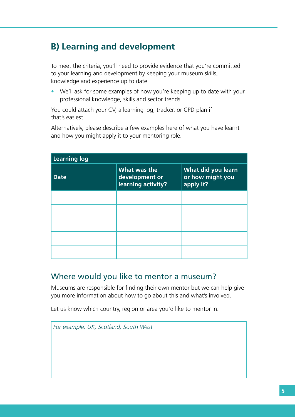# **B) Learning and development**

To meet the criteria, you'll need to provide evidence that you're committed to your learning and development by keeping your museum skills, knowledge and experience up to date.

• We'll ask for some examples of how you're keeping up to date with your professional knowledge, skills and sector trends.

You could attach your CV, a learning log, tracker, or CPD plan if that's easiest.

Alternatively, please describe a few examples here of what you have learnt and how you might apply it to your mentoring role.

| Learning log |                                                      |                                                     |  |
|--------------|------------------------------------------------------|-----------------------------------------------------|--|
| <b>Date</b>  | What was the<br>development or<br>learning activity? | What did you learn<br>or how might you<br>apply it? |  |
|              |                                                      |                                                     |  |
|              |                                                      |                                                     |  |
|              |                                                      |                                                     |  |
|              |                                                      |                                                     |  |
|              |                                                      |                                                     |  |

## Where would you like to mentor a museum?

Museums are responsible for finding their own mentor but we can help give you more information about how to go about this and what's involved.

Let us know which country, region or area you'd like to mentor in.

*For example, UK, Scotland, South West*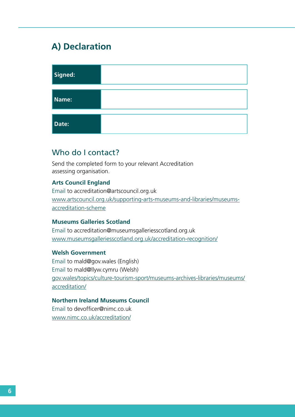# **A) Declaration**

| Signed: |  |
|---------|--|
| Name:   |  |
| Date:   |  |

#### Who do I contact?

Send the completed form to your relevant Accreditation assessing organisation.

#### **Arts Council England**

Email to accreditation@artscouncil.org.uk www.artscouncil.org.uk/supporting-arts-museums-and-libraries/museumsaccreditation-scheme

#### **Museums Galleries Scotland**

Email to accreditation@museumsgalleriesscotland.org.uk www.museumsgalleriesscotland.org.uk/accreditation-recognition/

#### **Welsh Government**

Email to mald@gov.wales (English) Email to mald@llyw.cymru (Welsh) gov.wales/topics/culture-tourism-sport/museums-archives-libraries/museums/ accreditation/

#### **Northern Ireland Museums Council**

Email to devofficer@nimc.co.uk www.nimc.co.uk/accreditation/